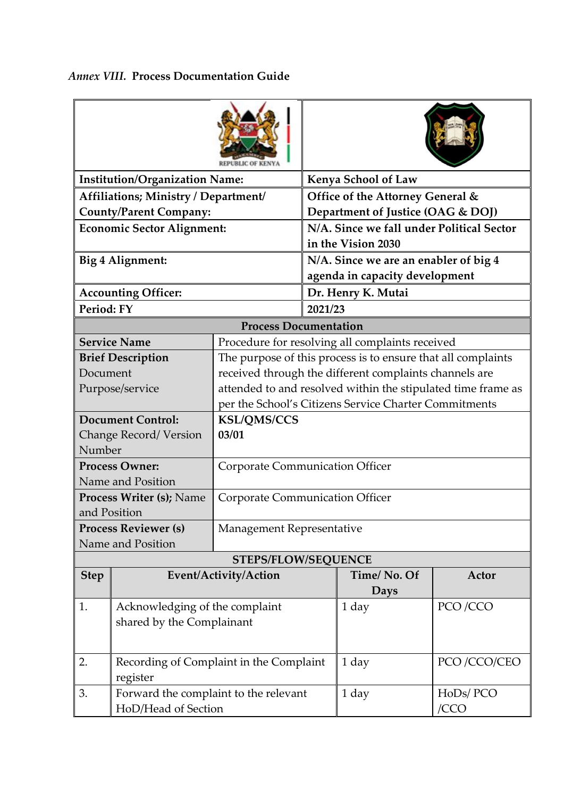| <b>Institution/Organization Name:</b>           |                                                                        |                                                              | Kenya School of Law                                             |                                  |             |  |  |  |  |  |
|-------------------------------------------------|------------------------------------------------------------------------|--------------------------------------------------------------|-----------------------------------------------------------------|----------------------------------|-------------|--|--|--|--|--|
|                                                 | Affiliations; Ministry / Department/                                   |                                                              |                                                                 | Office of the Attorney General & |             |  |  |  |  |  |
| <b>County/Parent Company:</b>                   |                                                                        |                                                              | Department of Justice (OAG & DOJ)                               |                                  |             |  |  |  |  |  |
| <b>Economic Sector Alignment:</b>               |                                                                        |                                                              | N/A. Since we fall under Political Sector<br>in the Vision 2030 |                                  |             |  |  |  |  |  |
| Big 4 Alignment:                                |                                                                        |                                                              | N/A. Since we are an enabler of big 4                           |                                  |             |  |  |  |  |  |
|                                                 |                                                                        |                                                              |                                                                 | agenda in capacity development   |             |  |  |  |  |  |
| <b>Accounting Officer:</b>                      |                                                                        |                                                              |                                                                 | Dr. Henry K. Mutai               |             |  |  |  |  |  |
| Period: FY                                      |                                                                        |                                                              | 2021/23                                                         |                                  |             |  |  |  |  |  |
| <b>Process Documentation</b>                    |                                                                        |                                                              |                                                                 |                                  |             |  |  |  |  |  |
|                                                 | <b>Service Name</b><br>Procedure for resolving all complaints received |                                                              |                                                                 |                                  |             |  |  |  |  |  |
|                                                 | <b>Brief Description</b>                                               | The purpose of this process is to ensure that all complaints |                                                                 |                                  |             |  |  |  |  |  |
| Document                                        |                                                                        | received through the different complaints channels are       |                                                                 |                                  |             |  |  |  |  |  |
|                                                 | Purpose/service                                                        | attended to and resolved within the stipulated time frame as |                                                                 |                                  |             |  |  |  |  |  |
|                                                 |                                                                        | per the School's Citizens Service Charter Commitments        |                                                                 |                                  |             |  |  |  |  |  |
|                                                 | <b>Document Control:</b>                                               | <b>KSL/QMS/CCS</b>                                           |                                                                 |                                  |             |  |  |  |  |  |
|                                                 | Change Record/Version                                                  | 03/01                                                        |                                                                 |                                  |             |  |  |  |  |  |
| Number                                          |                                                                        |                                                              |                                                                 |                                  |             |  |  |  |  |  |
| <b>Process Owner:</b>                           |                                                                        | <b>Corporate Communication Officer</b>                       |                                                                 |                                  |             |  |  |  |  |  |
| Name and Position                               |                                                                        |                                                              |                                                                 |                                  |             |  |  |  |  |  |
| <b>Process Writer (s); Name</b><br>and Position |                                                                        | Corporate Communication Officer                              |                                                                 |                                  |             |  |  |  |  |  |
|                                                 | <b>Process Reviewer (s)</b>                                            | Management Representative                                    |                                                                 |                                  |             |  |  |  |  |  |
|                                                 | Name and Position                                                      |                                                              |                                                                 |                                  |             |  |  |  |  |  |
| <b>STEPS/FLOW/SEQUENCE</b>                      |                                                                        |                                                              |                                                                 |                                  |             |  |  |  |  |  |
| <b>Step</b>                                     |                                                                        | Event/Activity/Action                                        |                                                                 | Time/No. Of                      | Actor       |  |  |  |  |  |
|                                                 |                                                                        |                                                              |                                                                 | <b>Days</b>                      |             |  |  |  |  |  |
| 1.                                              | Acknowledging of the complaint                                         |                                                              |                                                                 | 1 day                            | PCO/CCO     |  |  |  |  |  |
|                                                 | shared by the Complainant                                              |                                                              |                                                                 |                                  |             |  |  |  |  |  |
|                                                 |                                                                        |                                                              |                                                                 |                                  |             |  |  |  |  |  |
| 2.                                              | Recording of Complaint in the Complaint                                |                                                              |                                                                 | 1 day                            | PCO/CCO/CEO |  |  |  |  |  |
|                                                 | register                                                               |                                                              |                                                                 |                                  |             |  |  |  |  |  |
| 3.                                              | Forward the complaint to the relevant                                  |                                                              |                                                                 | 1 day                            | HoDs/PCO    |  |  |  |  |  |
|                                                 | HoD/Head of Section                                                    |                                                              |                                                                 |                                  | /CCO        |  |  |  |  |  |

## *Annex VIII.* **Process Documentation Guide**